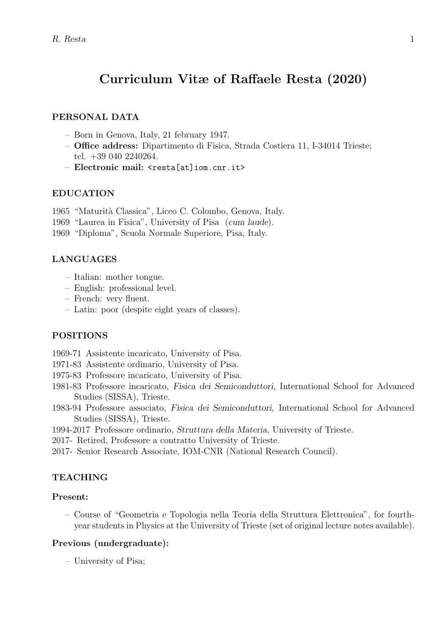# **Curriculum Vitæ of Raffaele Resta (2020)**

## **PERSONAL DATA**

- Born in Genova, Italy, 21 february 1947.
- **Office address:** Dipartimento di Fisica, Strada Costiera 11, I-34014 Trieste; tel. +39 040 2240264.
- **Electronic mail:** <resta[at]iom.cnr.it>

#### **EDUCATION**

- 1965 "Maturit`a Classica", Liceo C. Colombo, Genova, Italy.
- 1969 "Laurea in Fisica", University of Pisa (*cum laude*).
- 1969 "Diploma", Scuola Normale Superiore, Pisa, Italy.

## **LANGUAGES**

- Italian: mother tongue.
- English: professional level.
- French: very fluent.
- Latin: poor (despite eight years of classes).

## **POSITIONS**

- 1969-71 Assistente incaricato, University of Pisa.
- 1971-83 Assistente ordinario, University of Pisa.
- 1975-83 Professore incaricato, University of Pisa.
- 1981-83 Professore incaricato, *Fisica dei Semiconduttori*, International School for Advanced Studies (SISSA), Trieste.
- 1983-94 Professore associato, *Fisica dei Semiconduttori*, International School for Advanced Studies (SISSA), Trieste.
- 1994-2017 Professore ordinario, *Struttura della Materia*, University of Trieste.
- 2017- Retired, Professore a contratto University of Trieste.
- 2017- Senior Research Associate, IOM-CNR (National Research Council).

# **TEACHING**

# **Present:**

– Course of "Geometria e Topologia nella Teoria della Struttura Elettronica", for fourthyear students in Physics at the University of Trieste (set of original lecture notes available).

## **Previous (undergraduate):**

– University of Pisa;